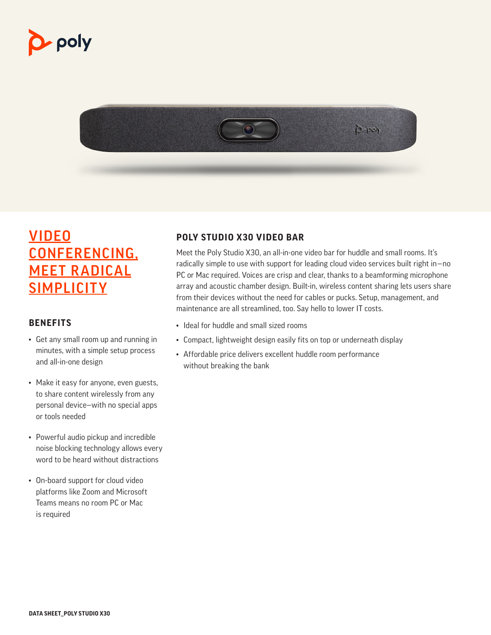# p- poly



### VIDEO CONFERENCING, MEET RADICAL **SIMPLICITY**

#### **BENEFITS**

- Get any small room up and running in minutes, with a simple setup process and all-in-one design
- Make it easy for anyone, even guests, to share content wirelessly from any personal device—with no special apps or tools needed
- Powerful audio pickup and incredible noise blocking technology allows every word to be heard without distractions
- On-board support for cloud video platforms like Zoom and Microsoft Teams means no room PC or Mac is required

#### **POLY STUDIO X30 VIDEO BAR**

Meet the Poly Studio X30, an all-in-one video bar for huddle and small rooms. It's radically simple to use with support for leading cloud video services built right in—no PC or Mac required. Voices are crisp and clear, thanks to a beamforming microphone array and acoustic chamber design. Built-in, wireless content sharing lets users share from their devices without the need for cables or pucks. Setup, management, and maintenance are all streamlined, too. Say hello to lower IT costs.

- Ideal for huddle and small sized rooms
- Compact, lightweight design easily fits on top or underneath display
- Affordable price delivers excellent huddle room performance without breaking the bank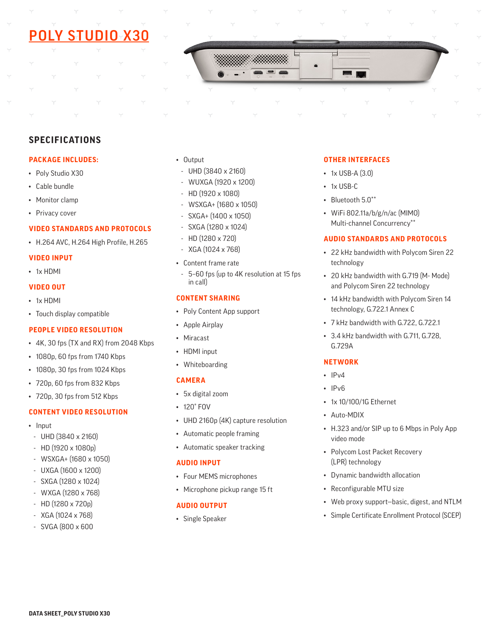## POLY STUDIO X30



#### **SPECIFICATIONS**

#### **PACKAGE INCLUDES:**

- Poly Studio X30
- Cable bundle
- Monitor clamp
- Privacy cover

#### **VIDEO STANDARDS AND PROTOCOLS**

• H.264 AVC, H.264 High Profile, H.265

#### **VIDEO INPUT**

• 1x HDMI

#### **VIDEO OUT**

- 1x HDMI
- Touch display compatible

#### **PEOPLE VIDEO RESOLUTION**

- 4K, 30 fps (TX and RX) from 2048 Kbps
- 1080p, 60 fps from 1740 Kbps
- 1080p, 30 fps from 1024 Kbps
- 720p, 60 fps from 832 Kbps
- 720p, 30 fps from 512 Kbps

#### **CONTENT VIDEO RESOLUTION**

- Input
- UHD (3840 x 2160)
- HD (1920 x 1080p)
- WSXGA+ (1680 x 1050)
- UXGA (1600 x 1200)
- SXGA (1280 x 1024)
- WXGA (1280 x 768)
- HD (1280 x 720p)
- XGA (1024 x 768)
- SVGA (800 x 600
- Output
- UHD (3840 x 2160)
- WUXGA (1920 x 1200)
- HD (1920 x 1080)
- WSXGA+ (1680 x 1050)
- SXGA+ (1400 x 1050)
- SXGA (1280 x 1024)
- HD (1280 x 720)
- XGA (1024 x 768)
- Content frame rate
- 5–60 fps (up to 4K resolution at 15 fps in call)

#### **CONTENT SHARING**

- Poly Content App support
- Apple Airplay
- Miracast
- HDMI input
- Whiteboarding

#### **CAMERA**

- 5x digital zoom
- 120° FOV
- UHD 2160p (4K) capture resolution
- Automatic people framing
- Automatic speaker tracking

#### **AUDIO INPUT**

- Four MEMS microphones
- Microphone pickup range 15 ft

#### **AUDIO OUTPUT**

• Single Speaker

#### **OTHER INTERFACES**

- 1x USB-A (3.0)
- 1x USB-C
- Bluetooth 5.0\*\*
- WiFi 802.11a/b/g/n/ac (MIMO) Multi-channel Concurrency\*\*

#### **AUDIO STANDARDS AND PROTOCOLS**

- 22 kHz bandwidth with Polycom Siren 22 technology
- 20 kHz bandwidth with G.719 (M- Mode) and Polycom Siren 22 technology
- 14 kHz bandwidth with Polycom Siren 14 technology, G.722.1 Annex C
- 7 kHz bandwidth with G.722, G.722.1
- 3.4 kHz bandwidth with G.711, G.728, G.729A

#### **NETWORK**

- $\cdot$  IPv4
- IPv6
- 1x 10/100/1G Ethernet
- Auto-MDIX
- H.323 and/or SIP up to 6 Mbps in Poly App video mode
- Polycom Lost Packet Recovery (LPR) technology
- Dynamic bandwidth allocation
- Reconfigurable MTU size
- Web proxy support—basic, digest, and NTLM
- Simple Certificate Enrollment Protocol (SCEP)